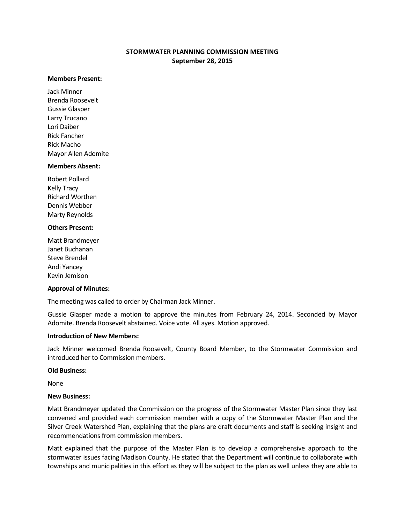# **STORMWATER PLANNING COMMISSION MEETING September 28, 2015**

#### **Members Present:**

Jack Minner Brenda Roosevelt Gussie Glasper Larry Trucano Lori Daiber Rick Fancher Rick Macho Mayor Allen Adomite

#### **Members Absent:**

Robert Pollard Kelly Tracy Richard Worthen Dennis Webber Marty Reynolds

## **Others Present:**

Matt Brandmeyer Janet Buchanan Steve Brendel Andi Yancey Kevin Jemison

## **Approval of Minutes:**

The meeting was called to order by Chairman Jack Minner.

Gussie Glasper made a motion to approve the minutes from February 24, 2014. Seconded by Mayor Adomite. Brenda Roosevelt abstained. Voice vote. All ayes. Motion approved.

## **Introduction of New Members:**

Jack Minner welcomed Brenda Roosevelt, County Board Member, to the Stormwater Commission and introduced her to Commission members.

## **Old Business:**

None

## **New Business:**

Matt Brandmeyer updated the Commission on the progress of the Stormwater Master Plan since they last convened and provided each commission member with a copy of the Stormwater Master Plan and the Silver Creek Watershed Plan, explaining that the plans are draft documents and staff is seeking insight and recommendations from commission members.

Matt explained that the purpose of the Master Plan is to develop a comprehensive approach to the stormwater issues facing Madison County. He stated that the Department will continue to collaborate with townships and municipalities in this effort as they will be subject to the plan as well unless they are able to